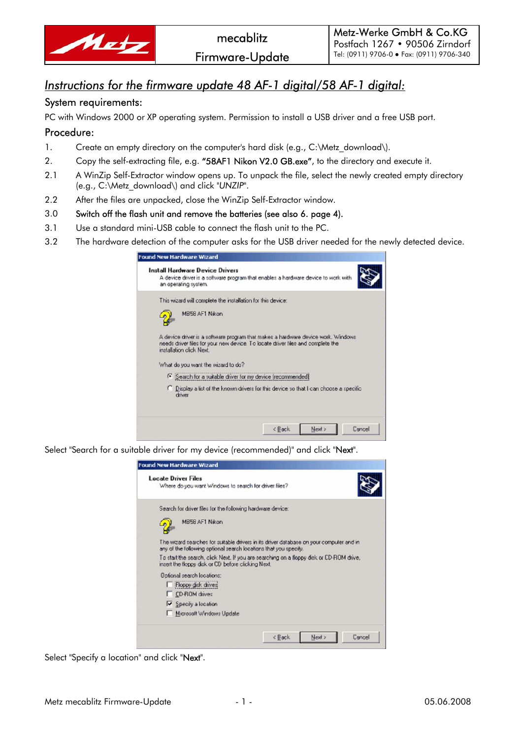

## *Instructions for the firmware update 48 AF-1 digital/58 AF-1 digital:*

## System requirements:

PC with Windows 2000 or XP operating system. Permission to install a USB driver and a free USB port.

## Procedure:

- 1. Create an empty directory on the computer's hard disk (e.g., C:\Metz\_download\).
- 2. Copy the self-extracting file, e.g. "58AF1 Nikon V2.0 GB.exe", to the directory and execute it.
- 2.1 A WinZip Self-Extractor window opens up. To unpack the file, select the newly created empty directory (e.g., C:\Metz\_download\) and click *"UNZIP"*.
- 2.2 After the files are unpacked, close the WinZip Self-Extractor window.
- 3.0 Switch off the flash unit and remove the batteries (see also 6. page 4).
- 3.1 Use a standard mini-USB cable to connect the flash unit to the PC.

ſ,

3.2 The hardware detection of the computer asks for the USB driver needed for the newly detected device.

| ound New Hardware Wizard                                                                                                                                                                       |
|------------------------------------------------------------------------------------------------------------------------------------------------------------------------------------------------|
| <b>Install Hardware Device Drivers</b><br>A device driver is a software program that enables a hardware device to work with<br>an operating system.                                            |
| This wizard will complete the installation for this device:                                                                                                                                    |
| MB58 AF1 Nikon                                                                                                                                                                                 |
| A device driver is a software program that makes a hardware device work. Windows<br>needs driver files for your new device. To locate driver files and complete the<br>installation click Next |
| What do you want the wizard to do?                                                                                                                                                             |
| <sup>6</sup> Search for a suitable driver for my device (recommended)                                                                                                                          |
| C Display a list of the known drivers for this device so that I can choose a specific<br>driver                                                                                                |
| $c$ Bock<br>Cance<br>Next >                                                                                                                                                                    |

Select "Search for a suitable driver for my device (recommended)" and click "Next".

| <b>Locate Driver Files</b><br>Where do you want Windows to search for driver files?                                                                         |  |  |
|-------------------------------------------------------------------------------------------------------------------------------------------------------------|--|--|
| Search for driver files for the following hardware device:                                                                                                  |  |  |
| MB58 AF1 Nikon                                                                                                                                              |  |  |
| The wizard searches for suitable drivers in its driver database on your computer and in<br>any of the following optional search locations that you specify. |  |  |
| To start the search, click Next, If you are searching on a floopy disk or CD-ROM drive,<br>insert the floppy disk or CD before clicking Next.               |  |  |
| <b>Optional search locations:</b>                                                                                                                           |  |  |
| Floppy disk drived                                                                                                                                          |  |  |
| <b>CD-ROM</b> diives                                                                                                                                        |  |  |
| V Specify a location                                                                                                                                        |  |  |
| Microsoft Windows Update                                                                                                                                    |  |  |

Select "Specify a location" and click "Next".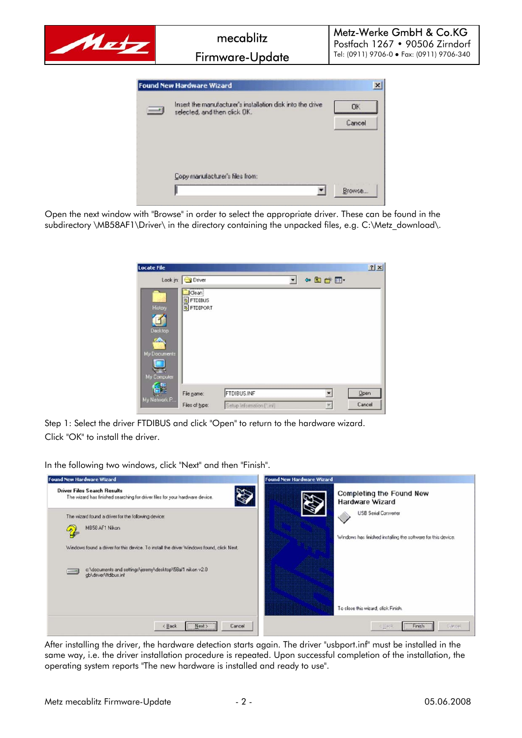

Open the next window with "Browse" in order to select the appropriate driver. These can be found in the subdirectory \MB58AF1\Driver\ in the directory containing the unpacked files, e.g. C:\Metz\_download\.

| <b>Locate File</b>                                      |                                          |                           |   |                | 7x     |
|---------------------------------------------------------|------------------------------------------|---------------------------|---|----------------|--------|
|                                                         | Look in: O Driver                        |                           | ▼ | $\n  CP\n  CP$ |        |
| History<br>Decktop<br>ZО<br>My Documents<br>My Computer | I Clean!<br>FTDIBUS<br><b>B</b> FTDIPORT |                           |   |                |        |
|                                                         | File name:                               | <b>FTDIBUS.INF</b>        |   |                | Open   |
| My Network P                                            | Files of type:                           | Setup Information [".inf] |   |                | Cancel |

Step 1: Select the driver FTDIBUS and click "Open" to return to the hardware wizard. Click "OK" to install the driver.

In the following two windows, click "Next" and then "Finish".



After installing the driver, the hardware detection starts again. The driver "usbport.inf" must be installed in the same way, i.e. the driver installation procedure is repeated. Upon successful completion of the installation, the operating system reports "The new hardware is installed and ready to use".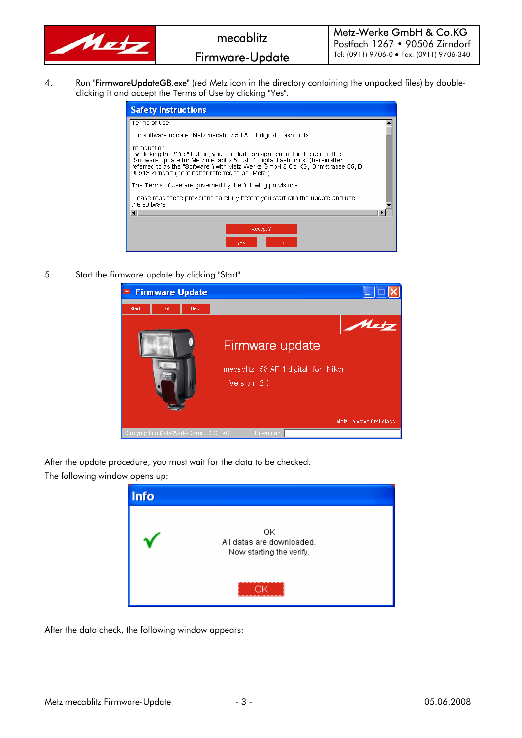

4. Run "FirmwareUpdateGB.exe" (red Metz icon in the directory containing the unpacked files) by doubleclicking it and accept the Terms of Use by clicking "Yes".

| <b>Safety Instructions</b>                                                                                                                                                                                                                                                                                            |  |  |  |  |  |
|-----------------------------------------------------------------------------------------------------------------------------------------------------------------------------------------------------------------------------------------------------------------------------------------------------------------------|--|--|--|--|--|
| Terms of Use                                                                                                                                                                                                                                                                                                          |  |  |  |  |  |
| For software update "Metz mecablitz 58 AF-1 digital" flash units                                                                                                                                                                                                                                                      |  |  |  |  |  |
| Introduction:<br>By clicking the "Yes" button, you conclude an agreement for the use of the<br>"Software update for Metz mecablitz 58 AF-1 digital flash units" (hereinafter<br>referred to as the "Software") with Metz-Werke GmbH & Co KG, Ohmstrasse 55, D-<br>90513 Zirndorf (hereinafter referred to as "Metz"). |  |  |  |  |  |
| The Terms of Use are governed by the following provisions.                                                                                                                                                                                                                                                            |  |  |  |  |  |
| Please read these provisions carefully before you start with the update and use<br>the software.                                                                                                                                                                                                                      |  |  |  |  |  |
|                                                                                                                                                                                                                                                                                                                       |  |  |  |  |  |
| Accept?                                                                                                                                                                                                                                                                                                               |  |  |  |  |  |
| no<br>yes                                                                                                                                                                                                                                                                                                             |  |  |  |  |  |

5. Start the firmware update by clicking "Start".



After the update procedure, you must wait for the data to be checked. The following window opens up:



After the data check, the following window appears: